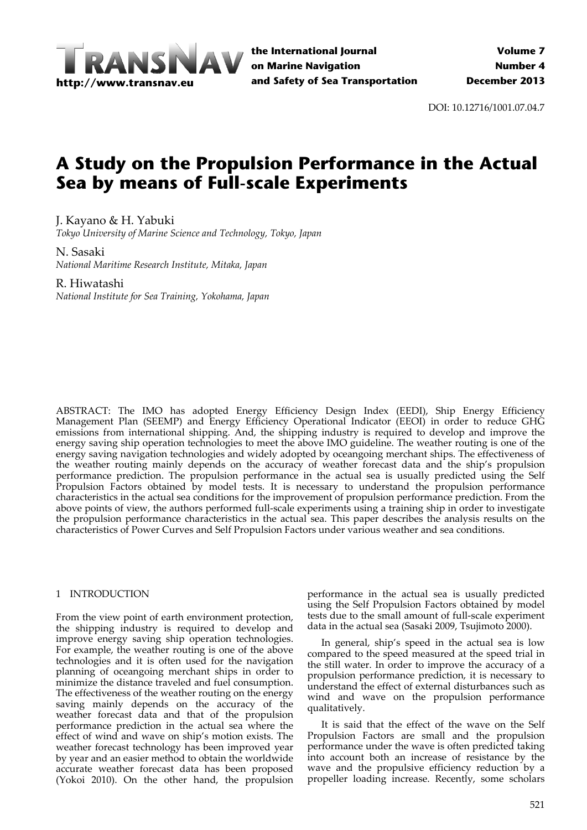

DOI: 10.12716/1001.07.04.7

# **A Study on the Propulsion Performance in the Actual Sea by means of Full-scale Experiments**

J. Kayano & H. Yabuki

*Tokyo University of Marine Science and Technology, Tokyo, Japan*

N. Sasaki *National Maritime Research Institute, Mitaka, Japan*

## R. Hiwatashi

*National Institute for Sea Training, Yokohama, Japan*

ABSTRACT: The IMO has adopted Energy Efficiency Design Index (EEDI), Ship Energy Efficiency Management Plan (SEEMP) and Energy Efficiency Operational Indicator (EEOI) in order to reduce GHG emissions from international shipping. And, the shipping industry is required to develop and improve the energy saving ship operation technologies to meet the above IMO guideline. The weather routing is one of the energy saving navigation technologies and widely adopted by oceangoing merchant ships. The effectiveness of the weather routing mainly depends on the accuracy of weather forecast data and the ship's propulsion performance prediction. The propulsion performance in the actual sea is usually predicted using the Self Propulsion Factors obtained by model tests. It is necessary to understand the propulsion performance characteristics in the actual sea conditions for the improvement of propulsion performance prediction. From the above points of view, the authors performed full‐scale experiments using a training ship in order to investigate the propulsion performance characteristics in the actual sea. This paper describes the analysis results on the characteristics of Power Curves and Self Propulsion Factors under various weather and sea conditions.

## 1 INTRODUCTION

From the view point of earth environment protection, the shipping industry is required to develop and improve energy saving ship operation technologies. For example, the weather routing is one of the above technologies and it is often used for the navigation planning of oceangoing merchant ships in order to minimize the distance traveled and fuel consumption. The effectiveness of the weather routing on the energy saving mainly depends on the accuracy of the weather forecast data and that of the propulsion performance prediction in the actual sea where the effect of wind and wave on ship's motion exists. The weather forecast technology has been improved year by year and an easier method to obtain the worldwide accurate weather forecast data has been proposed (Yokoi 2010). On the other hand, the propulsion

performance in the actual sea is usually predicted using the Self Propulsion Factors obtained by model tests due to the small amount of full‐scale experiment data in the actual sea (Sasaki 2009, Tsujimoto 2000).

In general, ship's speed in the actual sea is low compared to the speed measured at the speed trial in the still water. In order to improve the accuracy of a propulsion performance prediction, it is necessary to understand the effect of external disturbances such as wind and wave on the propulsion performance qualitatively.

It is said that the effect of the wave on the Self Propulsion Factors are small and the propulsion performance under the wave is often predicted taking into account both an increase of resistance by the wave and the propulsive efficiency reduction by a propeller loading increase. Recently, some scholars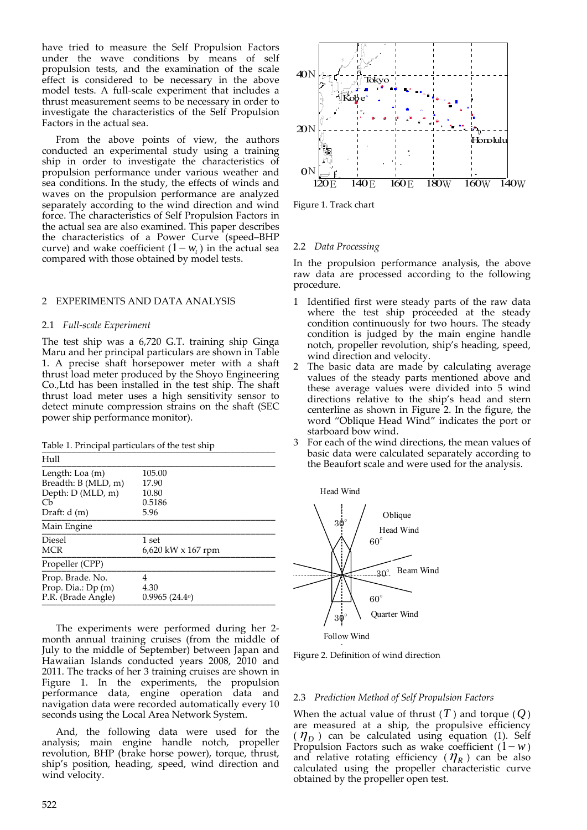have tried to measure the Self Propulsion Factors under the wave conditions by means of self propulsion tests, and the examination of the scale effect is considered to be necessary in the above model tests. A full‐scale experiment that includes a thrust measurement seems to be necessary in order to investigate the characteristics of the Self Propulsion Factors in the actual sea.

From the above points of view, the authors conducted an experimental study using a training ship in order to investigate the characteristics of propulsion performance under various weather and sea conditions. In the study, the effects of winds and waves on the propulsion performance are analyzed separately according to the wind direction and wind force. The characteristics of Self Propulsion Factors in the actual sea are also examined. This paper describes the characteristics of a Power Curve (speed–BHP curve) and wake coefficient  $(1 - w_t)$  in the actual sea compared with those obtained by model tests.

#### 2 EXPERIMENTS AND DATA ANALYSIS

#### 2.1 *Full‐scale Experiment*

The test ship was a 6,720 G.T. training ship Ginga Maru and her principal particulars are shown in Table 1. A precise shaft horsepower meter with a shaft thrust load meter produced by the Shoyo Engineering Co.,Ltd has been installed in the test ship. The shaft thrust load meter uses a high sensitivity sensor to detect minute compression strains on the shaft (SEC power ship performance monitor).

Table 1. Principal particulars of the test ship

| Hull                                                         |                                    |
|--------------------------------------------------------------|------------------------------------|
| Length: Loa (m)                                              | 105.00                             |
| Breadth: B (MLD, m)<br>Depth: D (MLD, m)                     | 17.90<br>10.80                     |
| Cb                                                           | 0.5186                             |
| Draft: $d(m)$                                                | 5.96                               |
| Main Engine                                                  |                                    |
| <b>Diesel</b><br><b>MCR</b>                                  | 1 set<br>6,620 kW $\times$ 167 rpm |
| Propeller (CPP)                                              |                                    |
| Prop. Brade. No.<br>Prop. Dia.: Dp (m)<br>P.R. (Brade Angle) | 4<br>4.30<br>0.9965(24.4)          |

The experiments were performed during her 2‐ month annual training cruises (from the middle of July to the middle of September) between Japan and Hawaiian Islands conducted years 2008, 2010 and 2011. The tracks of her 3 training cruises are shown in Figure 1. In the experiments, the propulsion performance data, engine operation data and navigation data were recorded automatically every 10 seconds using the Local Area Network System.

And, the following data were used for the analysis; main engine handle notch, propeller revolution, BHP (brake horse power), torque, thrust, ship's position, heading, speed, wind direction and wind velocity.



Figure 1. Track chart

#### 2.2 *Data Processing*

In the propulsion performance analysis, the above raw data are processed according to the following procedure.

- 1 Identified first were steady parts of the raw data where the test ship proceeded at the steady condition continuously for two hours. The steady condition is judged by the main engine handle notch, propeller revolution, ship's heading, speed, wind direction and velocity.
- 2 The basic data are made by calculating average values of the steady parts mentioned above and these average values were divided into 5 wind directions relative to the ship's head and stern centerline as shown in Figure 2. In the figure, the word "Oblique Head Wind" indicates the port or starboard bow wind.
- 3 For each of the wind directions, the mean values of basic data were calculated separately according to the Beaufort scale and were used for the analysis.

Head Wind



Figure 2. Definition of wind direction

#### 2.3 *Prediction Method of Self Propulsion Factors*

When the actual value of thrust  $(T)$  and torque  $(Q)$ are measured at a ship, the propulsive efficiency  $(\eta_D)$  can be calculated using equation (1). Self Propulsion Factors such as wake coefficient  $(1 - w)$ and relative rotating efficiency ( $\eta_{\scriptscriptstyle R}$ ) can be also calculated using the propeller characteristic curve obtained by the propeller open test.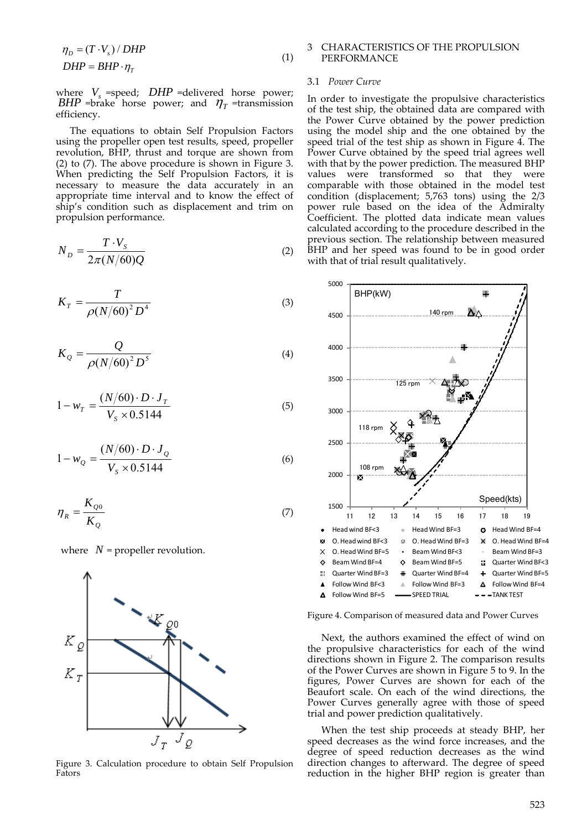$$
\eta_D = (T \cdot V_s) / DHP
$$
  
 
$$
DHP = BHP \cdot \eta_T
$$
 (1)

where  $V<sub>s</sub>$  =speed;  $DHP$  =delivered horse power; *BHP* =brake horse power; and  $\eta$ <sub>T</sub> =transmission efficiency.

The equations to obtain Self Propulsion Factors using the propeller open test results, speed, propeller revolution, BHP, thrust and torque are shown from (2) to (7). The above procedure is shown in Figure 3. When predicting the Self Propulsion Factors, it is necessary to measure the data accurately in an appropriate time interval and to know the effect of ship's condition such as displacement and trim on propulsion performance.

$$
N_D = \frac{T \cdot V_s}{2\pi (N/60)Q} \tag{2}
$$

$$
K_T = \frac{T}{\rho (N/60)^2 D^4}
$$
 (3)

$$
K_Q = \frac{Q}{\rho (N/60)^2 D^5}
$$
 (4)

$$
1 - w_T = \frac{(N/60) \cdot D \cdot J_T}{V_s \times 0.5144} \tag{5}
$$

$$
1 - w_Q = \frac{(N/60) \cdot D \cdot J_Q}{V_s \times 0.5144}
$$
 (6)

$$
\eta_R = \frac{K_{Q0}}{K_Q} \tag{7}
$$





Figure 3. Calculation procedure to obtain Self Propulsion Fators

#### 3 CHARACTERISTICS OF THE PROPULSION PERFORMANCE

#### 3.1 *Power Curve*

In order to investigate the propulsive characteristics of the test ship, the obtained data are compared with the Power Curve obtained by the power prediction using the model ship and the one obtained by the speed trial of the test ship as shown in Figure 4. The Power Curve obtained by the speed trial agrees well with that by the power prediction. The measured BHP values were transformed so that they were comparable with those obtained in the model test condition (displacement; 5,763 tons) using the 2/3 power rule based on the idea of the Admiralty Coefficient. The plotted data indicate mean values calculated according to the procedure described in the previous section. The relationship between measured BHP and her speed was found to be in good order with that of trial result qualitatively.



Figure 4. Comparison of measured data and Power Curves

Next, the authors examined the effect of wind on the propulsive characteristics for each of the wind directions shown in Figure 2. The comparison results of the Power Curves are shown in Figure 5 to 9. In the figures, Power Curves are shown for each of the Beaufort scale. On each of the wind directions, the Power Curves generally agree with those of speed trial and power prediction qualitatively.

When the test ship proceeds at steady BHP, her speed decreases as the wind force increases, and the degree of speed reduction decreases as the wind direction changes to afterward. The degree of speed reduction in the higher BHP region is greater than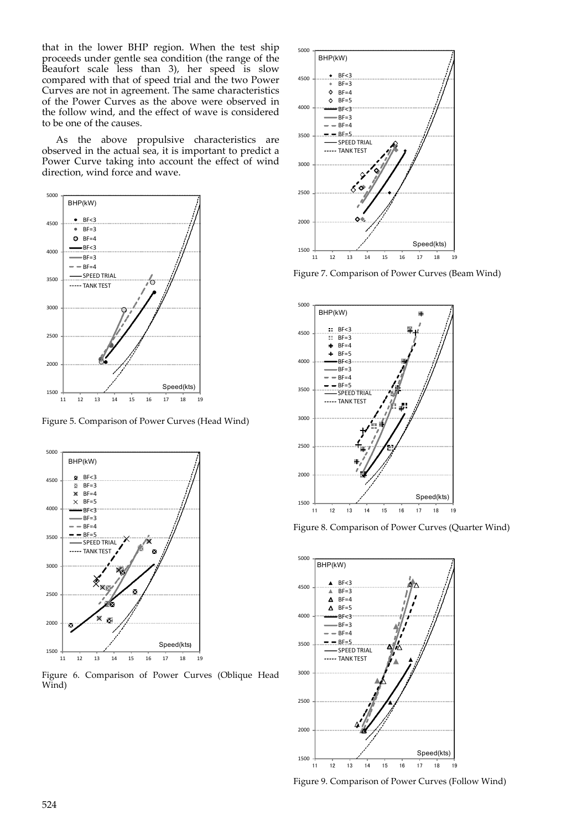that in the lower BHP region. When the test ship proceeds under gentle sea condition (the range of the Beaufort scale less than 3), her speed is slow compared with that of speed trial and the two Power Curves are not in agreement. The same characteristics of the Power Curves as the above were observed in the follow wind, and the effect of wave is considered to be one of the causes.

As the above propulsive characteristics are observed in the actual sea, it is important to predict a Power Curve taking into account the effect of wind direction, wind force and wave.



Figure 5. Comparison of Power Curves (Head Wind)



Figure 6. Comparison of Power Curves (Oblique Head Wind)



Figure 7. Comparison of Power Curves (Beam Wind)



Figure 8. Comparison of Power Curves (Quarter Wind)



Figure 9. Comparison of Power Curves (Follow Wind)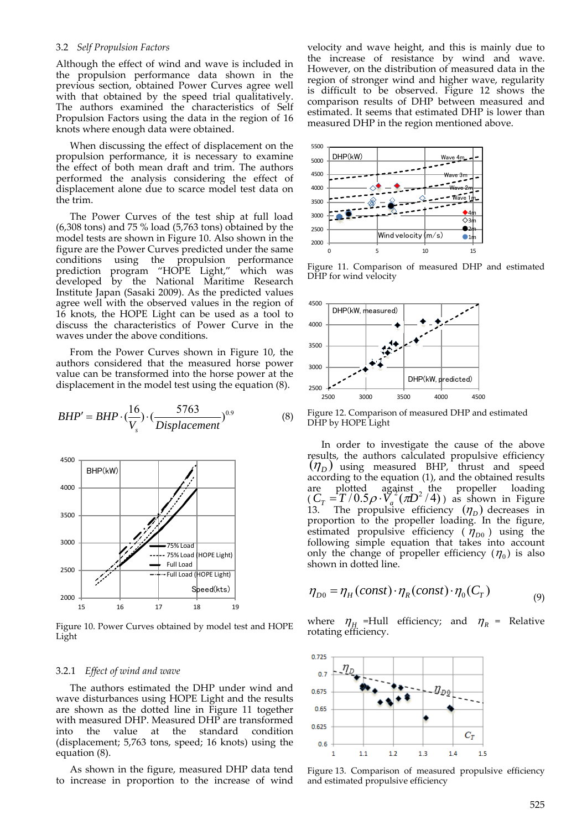#### 3.2 *Self Propulsion Factors*

Although the effect of wind and wave is included in the propulsion performance data shown in the previous section, obtained Power Curves agree well with that obtained by the speed trial qualitatively. The authors examined the characteristics of Self Propulsion Factors using the data in the region of 16 knots where enough data were obtained.

When discussing the effect of displacement on the propulsion performance, it is necessary to examine the effect of both mean draft and trim. The authors performed the analysis considering the effect of displacement alone due to scarce model test data on the trim.

The Power Curves of the test ship at full load (6,308 tons) and 75 % load (5,763 tons) obtained by the model tests are shown in Figure 10. Also shown in the figure are the Power Curves predicted under the same conditions using the propulsion performance prediction program "HOPE Light," which was prediction program "HOPE Light," which was<br>developed by the National Maritime Research Institute Japan (Sasaki 2009). As the predicted values agree well with the observed values in the region of 16 knots, the HOPE Light can be used as a tool to discuss the characteristics of Power Curve in the waves under the above conditions.

From the Power Curves shown in Figure 10, the authors considered that the measured horse power value can be transformed into the horse power at the displacement in the model test using the equation (8).

$$
BHP' = BHP \cdot \left(\frac{16}{V_s}\right) \cdot \left(\frac{5763}{Displacement}\right)^{0.9}
$$
 (8)



Figure 10. Power Curves obtained by model test and HOPE Light

#### 3.2.1 *Effect of wind and wave*

The authors estimated the DHP under wind and wave disturbances using HOPE Light and the results are shown as the dotted line in Figure 11 together with measured DHP. Measured DHP are transformed into the value at the standard condition (displacement; 5,763 tons, speed; 16 knots) using the equation (8).

As shown in the figure, measured DHP data tend to increase in proportion to the increase of wind velocity and wave height, and this is mainly due to the increase of resistance by wind and wave. However, on the distribution of measured data in the region of stronger wind and higher wave, regularity is difficult to be observed. Figure 12 shows the comparison results of DHP between measured and estimated. It seems that estimated DHP is lower than measured DHP in the region mentioned above.



Figure 11. Comparison of measured DHP and estimated DHP for wind velocity



Figure 12. Comparison of measured DHP and estimated DHP by HOPE Light

In order to investigate the cause of the above results, the authors calculated propulsive efficiency  $(\eta_D)$  using measured BHP, thrust and speed according to the equation (1), and the obtained results are plotted against the propeller loading<br>  $(C_T = T/0.5 \rho \cdot V_a^2 (\pi D^2/4))$  as shown in Figure 13. The propulsive efficiency  $(\eta_D)$  decreases in proportion to the propeller loading. In the figure, estimated propulsive efficiency ( $\eta_{D0}$ ) using the following simple equation that takes into account only the change of propeller efficiency  $(\eta_0)$  is also shown in dotted line.

$$
\eta_{D0} = \eta_H (const) \cdot \eta_R (const) \cdot \eta_0 (C_T) \tag{9}
$$

where  $\eta_{\mu}$  =Hull efficiency; and  $\eta_{\mu}$  = Relative rotating efficiency.



Figure 13. Comparison of measured propulsive efficiency and estimated propulsive efficiency